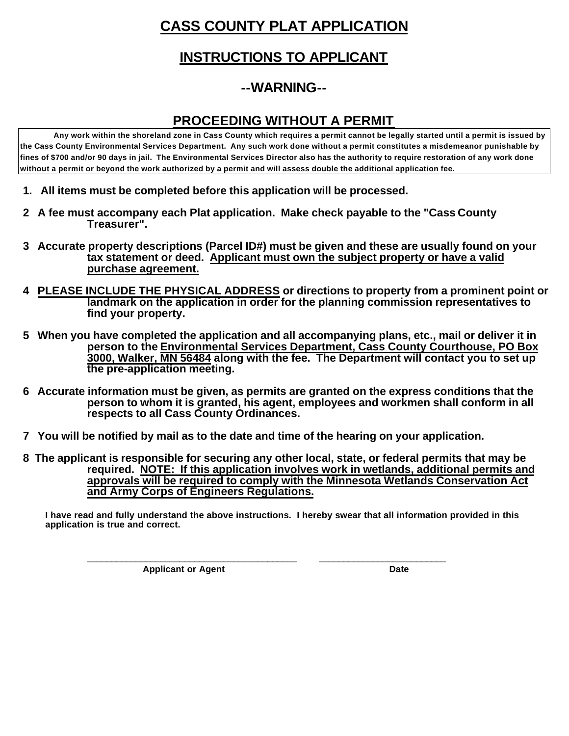## **CASS COUNTY PLAT APPLICATION**

### **INSTRUCTIONS TO APPLICANT**

## **--WARNING--**

#### **PROCEEDING WITHOUT A PERMIT**

**Any work within the shoreland zone in Cass County which requires a permit cannot be legally started until a permit is issued by the Cass County Environmental Services Department. Any such work done without a permit constitutes a misdemeanor punishable by fines of \$700 and/or 90 days in jail. The Environmental Services Director also has the authority to require restoration of any work done without a permit or beyond the work authorized by a permit and will assess double the additional application fee.**

- **1. All items must be completed before this application will be processed.**
- **2 A fee must accompany each Plat application. Make check payable to the "Cass County Treasurer".**
- **3 Accurate property descriptions (Parcel ID#) must be given and these are usually found on your tax statement or deed. Applicant must own the subject property or have a valid purchase agreement.**
- **4 PLEASE INCLUDE THE PHYSICAL ADDRESS or directions to property from a prominent point or landmark on the application in order for the planning commission representatives to find your property.**
- **5 When you have completed the application and all accompanying plans, etc., mail or deliver it in person to the Environmental Services Department, Cass County Courthouse, PO Box 3000, Walker, MN 56484 along with the fee. The Department will contact you to set up the pre-application meeting.**
- **6 Accurate information must be given, as permits are granted on the express conditions that the person to whom it is granted, his agent, employees and workmen shall conform in all respects to all Cass County Ordinances.**
- **7 You will be notified by mail as to the date and time of the hearing on your application.**

 **\_\_\_\_\_\_\_\_\_\_\_\_\_\_\_\_\_\_\_\_\_\_\_\_\_\_\_\_\_\_\_\_\_\_\_\_\_\_\_\_\_\_\_ \_\_\_\_\_\_\_\_\_\_\_\_\_\_\_\_\_\_\_\_\_\_\_\_\_\_**

 **8 The applicant is responsible for securing any other local, state, or federal permits that may be required. NOTE: If this application involves work in wetlands, additional permits and approvals will be required to comply with the Minnesota Wetlands Conservation Act and Army Corps of Engineers Regulations.**

**I have read and fully understand the above instructions. I hereby swear that all information provided in this application is true and correct.** 

**Applicant or Agent Date**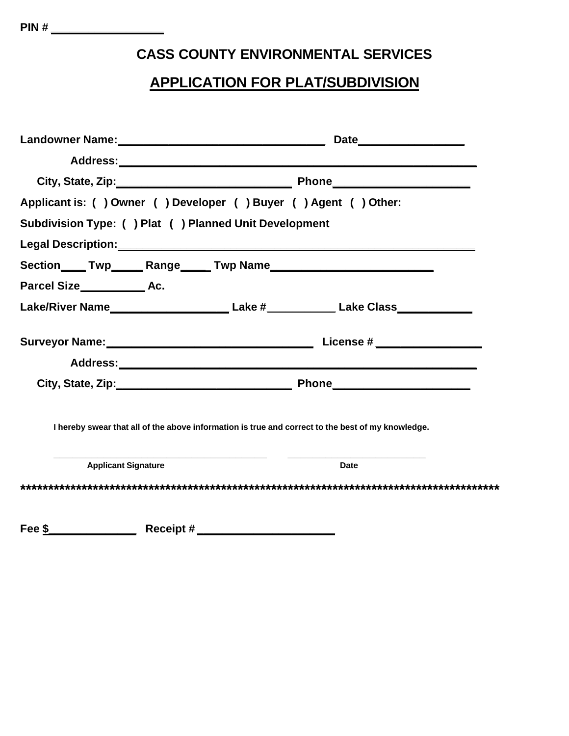### **CASS COUNTY ENVIRONMENTAL SERVICES**

#### **APPLICATION FOR PLAT/SUBDIVISION**

|                                                                                                   | Applicant is: () Owner () Developer () Buyer () Agent () Other:                                      |
|---------------------------------------------------------------------------------------------------|------------------------------------------------------------------------------------------------------|
| Subdivision Type: () Plat () Planned Unit Development                                             |                                                                                                      |
|                                                                                                   |                                                                                                      |
|                                                                                                   |                                                                                                      |
| Parcel Size Exertain Ac.                                                                          |                                                                                                      |
|                                                                                                   | Lake/River Name______________________________Lake #_______________Lake Class________________________ |
|                                                                                                   |                                                                                                      |
|                                                                                                   |                                                                                                      |
|                                                                                                   |                                                                                                      |
| I hereby swear that all of the above information is true and correct to the best of my knowledge. |                                                                                                      |
| <b>Applicant Signature</b>                                                                        | <b>Date</b>                                                                                          |
|                                                                                                   |                                                                                                      |
| Receipt#<br>Fee \$                                                                                |                                                                                                      |